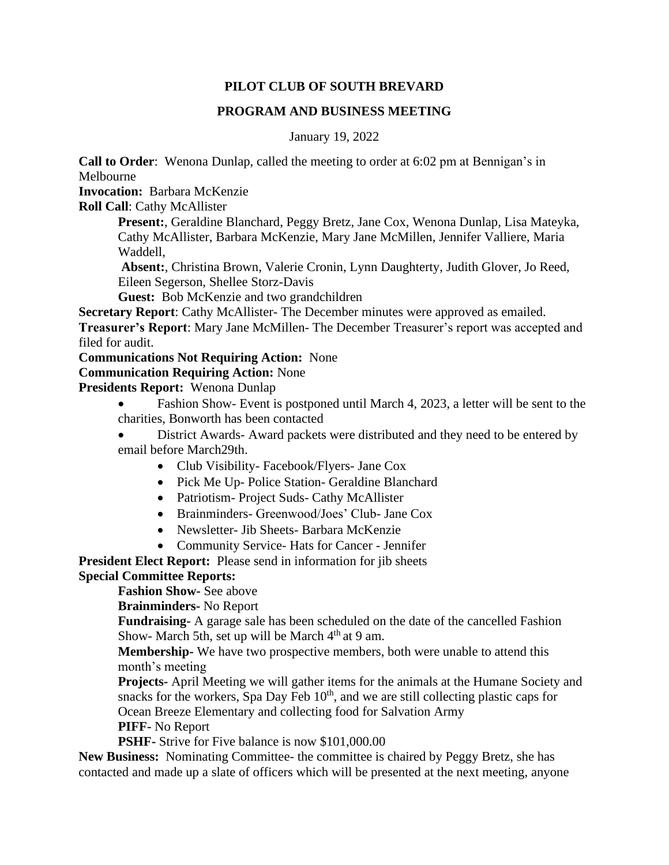# **PILOT CLUB OF SOUTH BREVARD**

## **PROGRAM AND BUSINESS MEETING**

January 19, 2022

**Call to Order**: Wenona Dunlap, called the meeting to order at 6:02 pm at Bennigan's in Melbourne

**Invocation:** Barbara McKenzie

**Roll Call**: Cathy McAllister

**Present:**, Geraldine Blanchard, Peggy Bretz, Jane Cox, Wenona Dunlap, Lisa Mateyka, Cathy McAllister, Barbara McKenzie, Mary Jane McMillen, Jennifer Valliere, Maria Waddell,

**Absent:**, Christina Brown, Valerie Cronin, Lynn Daughterty, Judith Glover, Jo Reed, Eileen Segerson, Shellee Storz-Davis

**Guest:** Bob McKenzie and two grandchildren

**Secretary Report**: Cathy McAllister- The December minutes were approved as emailed.

**Treasurer's Report**: Mary Jane McMillen- The December Treasurer's report was accepted and filed for audit.

## **Communications Not Requiring Action:** None

## **Communication Requiring Action:** None

**Presidents Report:** Wenona Dunlap

- Fashion Show- Event is postponed until March 4, 2023, a letter will be sent to the charities, Bonworth has been contacted
- District Awards- Award packets were distributed and they need to be entered by email before March29th.
	- Club Visibility- Facebook/Flyers- Jane Cox
	- Pick Me Up- Police Station- Geraldine Blanchard
	- Patriotism- Project Suds- Cathy McAllister
	- Brainminders- Greenwood/Joes' Club- Jane Cox
	- Newsletter- Jib Sheets- Barbara McKenzie
	- Community Service- Hats for Cancer Jennifer

**President Elect Report:** Please send in information for jib sheets **Special Committee Reports:** 

**Fashion Show-** See above

**Brainminders-** No Report

**Fundraising-** A garage sale has been scheduled on the date of the cancelled Fashion Show- March 5th, set up will be March  $4<sup>th</sup>$  at 9 am.

**Membership-** We have two prospective members, both were unable to attend this month's meeting

**Projects-** April Meeting we will gather items for the animals at the Humane Society and snacks for the workers, Spa Day Feb  $10<sup>th</sup>$ , and we are still collecting plastic caps for Ocean Breeze Elementary and collecting food for Salvation Army

**PIFF-** No Report

**PSHF-** Strive for Five balance is now \$101,000.00

**New Business:** Nominating Committee- the committee is chaired by Peggy Bretz, she has contacted and made up a slate of officers which will be presented at the next meeting, anyone